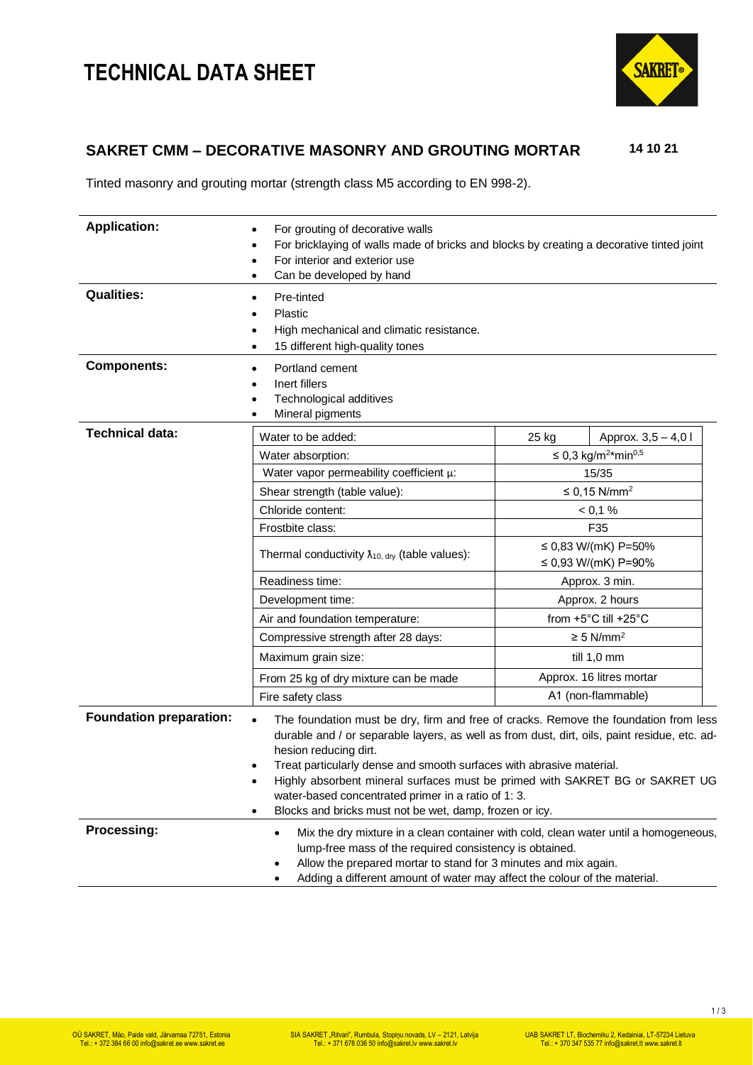# **TECHNICAL DATA SHEET**



### **SAKRET CMM – DECORATIVE MASONRY AND GROUTING MORTAR 14 10 21**

Tinted masonry and grouting mortar (strength class M5 according to EN 998-2).

| <b>Application:</b>            | For grouting of decorative walls<br>$\bullet$<br>For bricklaying of walls made of bricks and blocks by creating a decorative tinted joint<br>For interior and exterior use<br>Can be developed by hand                                                                                                                                                                                                                                                                                                    |                                          |                                             |  |
|--------------------------------|-----------------------------------------------------------------------------------------------------------------------------------------------------------------------------------------------------------------------------------------------------------------------------------------------------------------------------------------------------------------------------------------------------------------------------------------------------------------------------------------------------------|------------------------------------------|---------------------------------------------|--|
| <b>Qualities:</b>              | Pre-tinted<br>Plastic<br>High mechanical and climatic resistance.<br>15 different high-quality tones<br>$\bullet$                                                                                                                                                                                                                                                                                                                                                                                         |                                          |                                             |  |
| <b>Components:</b>             | Portland cement<br>Inert fillers<br>Technological additives<br>Mineral pigments                                                                                                                                                                                                                                                                                                                                                                                                                           |                                          |                                             |  |
| <b>Technical data:</b>         | Water to be added:                                                                                                                                                                                                                                                                                                                                                                                                                                                                                        | 25 kg                                    | Approx. 3,5 - 4,0 l                         |  |
|                                | Water absorption:                                                                                                                                                                                                                                                                                                                                                                                                                                                                                         |                                          | ≤ 0,3 kg/m <sup>2*</sup> min <sup>0,5</sup> |  |
|                                | Water vapor permeability coefficient $\mu$ :                                                                                                                                                                                                                                                                                                                                                                                                                                                              |                                          | 15/35                                       |  |
|                                | Shear strength (table value):                                                                                                                                                                                                                                                                                                                                                                                                                                                                             |                                          | $\leq$ 0,15 N/mm <sup>2</sup>               |  |
|                                | Chloride content:                                                                                                                                                                                                                                                                                                                                                                                                                                                                                         |                                          | < 0.1 %                                     |  |
|                                | Frostbite class:<br>F35                                                                                                                                                                                                                                                                                                                                                                                                                                                                                   |                                          |                                             |  |
|                                | ≤ 0,83 W/(mK) P=50%<br>Thermal conductivity $\lambda_{10, \text{ dry}}$ (table values):                                                                                                                                                                                                                                                                                                                                                                                                                   |                                          |                                             |  |
|                                |                                                                                                                                                                                                                                                                                                                                                                                                                                                                                                           |                                          | ≤ 0,93 W/(mK) P=90%                         |  |
|                                | Readiness time:<br>Approx. 3 min.                                                                                                                                                                                                                                                                                                                                                                                                                                                                         |                                          |                                             |  |
|                                | Approx. 2 hours<br>Development time:                                                                                                                                                                                                                                                                                                                                                                                                                                                                      |                                          |                                             |  |
|                                | Air and foundation temperature:                                                                                                                                                                                                                                                                                                                                                                                                                                                                           | from $+5^{\circ}$ C till $+25^{\circ}$ C |                                             |  |
|                                | Compressive strength after 28 days:                                                                                                                                                                                                                                                                                                                                                                                                                                                                       | $\geq$ 5 N/mm <sup>2</sup>               |                                             |  |
|                                | Maximum grain size:                                                                                                                                                                                                                                                                                                                                                                                                                                                                                       |                                          | till 1,0 mm                                 |  |
|                                | From 25 kg of dry mixture can be made                                                                                                                                                                                                                                                                                                                                                                                                                                                                     |                                          | Approx. 16 litres mortar                    |  |
|                                | Fire safety class                                                                                                                                                                                                                                                                                                                                                                                                                                                                                         |                                          | A1 (non-flammable)                          |  |
| <b>Foundation preparation:</b> | The foundation must be dry, firm and free of cracks. Remove the foundation from less<br>$\bullet$<br>durable and / or separable layers, as well as from dust, dirt, oils, paint residue, etc. ad-<br>hesion reducing dirt.<br>Treat particularly dense and smooth surfaces with abrasive material.<br>Highly absorbent mineral surfaces must be primed with SAKRET BG or SAKRET UG<br>٠<br>water-based concentrated primer in a ratio of 1: 3.<br>Blocks and bricks must not be wet, damp, frozen or icy. |                                          |                                             |  |
| Processing:                    | Mix the dry mixture in a clean container with cold, clean water until a homogeneous,<br>lump-free mass of the required consistency is obtained.<br>Allow the prepared mortar to stand for 3 minutes and mix again.<br>Adding a different amount of water may affect the colour of the material.                                                                                                                                                                                                           |                                          |                                             |  |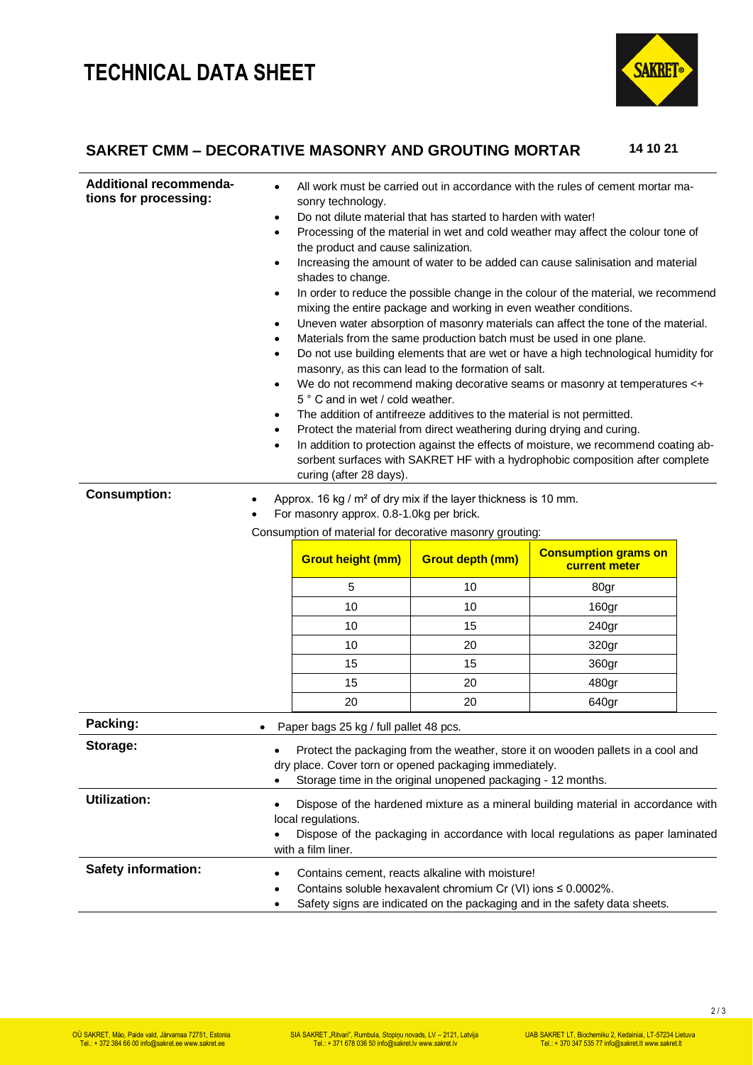## **TECHNICAL DATA SHEET**



### **SAKRET CMM – DECORATIVE MASONRY AND GROUTING MORTAR 14 10 21**

| <b>Additional recommenda-</b><br>tions for processing: | ٠<br>٠<br>$\bullet$<br>$\bullet$<br>٠<br>٠<br>٠<br>$\bullet$<br>٠<br>٠<br>٠                                                                                                                                       | All work must be carried out in accordance with the rules of cement mortar ma-<br>sonry technology.<br>Do not dilute material that has started to harden with water!<br>Processing of the material in wet and cold weather may affect the colour tone of<br>the product and cause salinization.<br>Increasing the amount of water to be added can cause salinisation and material<br>shades to change.<br>In order to reduce the possible change in the colour of the material, we recommend<br>mixing the entire package and working in even weather conditions.<br>Uneven water absorption of masonry materials can affect the tone of the material.<br>Materials from the same production batch must be used in one plane.<br>Do not use building elements that are wet or have a high technological humidity for<br>masonry, as this can lead to the formation of salt.<br>We do not recommend making decorative seams or masonry at temperatures <+<br>5° C and in wet / cold weather.<br>The addition of antifreeze additives to the material is not permitted.<br>Protect the material from direct weathering during drying and curing.<br>In addition to protection against the effects of moisture, we recommend coating ab-<br>sorbent surfaces with SAKRET HF with a hydrophobic composition after complete<br>curing (after 28 days). |          |                      |  |
|--------------------------------------------------------|-------------------------------------------------------------------------------------------------------------------------------------------------------------------------------------------------------------------|---------------------------------------------------------------------------------------------------------------------------------------------------------------------------------------------------------------------------------------------------------------------------------------------------------------------------------------------------------------------------------------------------------------------------------------------------------------------------------------------------------------------------------------------------------------------------------------------------------------------------------------------------------------------------------------------------------------------------------------------------------------------------------------------------------------------------------------------------------------------------------------------------------------------------------------------------------------------------------------------------------------------------------------------------------------------------------------------------------------------------------------------------------------------------------------------------------------------------------------------------------------------------------------------------------------------------------------------------|----------|----------------------|--|
| <b>Consumption:</b>                                    | $\bullet$                                                                                                                                                                                                         | Approx. 16 kg / m <sup>2</sup> of dry mix if the layer thickness is 10 mm.<br>For masonry approx. 0.8-1.0kg per brick.<br>Consumption of material for decorative masonry grouting:                                                                                                                                                                                                                                                                                                                                                                                                                                                                                                                                                                                                                                                                                                                                                                                                                                                                                                                                                                                                                                                                                                                                                                |          |                      |  |
|                                                        |                                                                                                                                                                                                                   | <b>Consumption grams on</b><br><b>Grout depth (mm)</b><br><b>Grout height (mm)</b>                                                                                                                                                                                                                                                                                                                                                                                                                                                                                                                                                                                                                                                                                                                                                                                                                                                                                                                                                                                                                                                                                                                                                                                                                                                                |          |                      |  |
|                                                        |                                                                                                                                                                                                                   |                                                                                                                                                                                                                                                                                                                                                                                                                                                                                                                                                                                                                                                                                                                                                                                                                                                                                                                                                                                                                                                                                                                                                                                                                                                                                                                                                   |          | <b>current meter</b> |  |
|                                                        |                                                                                                                                                                                                                   | 5                                                                                                                                                                                                                                                                                                                                                                                                                                                                                                                                                                                                                                                                                                                                                                                                                                                                                                                                                                                                                                                                                                                                                                                                                                                                                                                                                 | 10       | 80gr                 |  |
|                                                        |                                                                                                                                                                                                                   | 10                                                                                                                                                                                                                                                                                                                                                                                                                                                                                                                                                                                                                                                                                                                                                                                                                                                                                                                                                                                                                                                                                                                                                                                                                                                                                                                                                | 10<br>15 | 160gr                |  |
|                                                        |                                                                                                                                                                                                                   | 10<br>10                                                                                                                                                                                                                                                                                                                                                                                                                                                                                                                                                                                                                                                                                                                                                                                                                                                                                                                                                                                                                                                                                                                                                                                                                                                                                                                                          | 20       | 240gr                |  |
|                                                        |                                                                                                                                                                                                                   | 15                                                                                                                                                                                                                                                                                                                                                                                                                                                                                                                                                                                                                                                                                                                                                                                                                                                                                                                                                                                                                                                                                                                                                                                                                                                                                                                                                | 15       | 320gr                |  |
|                                                        |                                                                                                                                                                                                                   | 15                                                                                                                                                                                                                                                                                                                                                                                                                                                                                                                                                                                                                                                                                                                                                                                                                                                                                                                                                                                                                                                                                                                                                                                                                                                                                                                                                | 20       | 360gr<br>480gr       |  |
|                                                        |                                                                                                                                                                                                                   | 20                                                                                                                                                                                                                                                                                                                                                                                                                                                                                                                                                                                                                                                                                                                                                                                                                                                                                                                                                                                                                                                                                                                                                                                                                                                                                                                                                | 20       | 640gr                |  |
| Packing:                                               |                                                                                                                                                                                                                   |                                                                                                                                                                                                                                                                                                                                                                                                                                                                                                                                                                                                                                                                                                                                                                                                                                                                                                                                                                                                                                                                                                                                                                                                                                                                                                                                                   |          |                      |  |
|                                                        | ٠                                                                                                                                                                                                                 | Paper bags 25 kg / full pallet 48 pcs.                                                                                                                                                                                                                                                                                                                                                                                                                                                                                                                                                                                                                                                                                                                                                                                                                                                                                                                                                                                                                                                                                                                                                                                                                                                                                                            |          |                      |  |
| Storage:                                               | Protect the packaging from the weather, store it on wooden pallets in a cool and<br>dry place. Cover torn or opened packaging immediately.<br>Storage time in the original unopened packaging - 12 months.        |                                                                                                                                                                                                                                                                                                                                                                                                                                                                                                                                                                                                                                                                                                                                                                                                                                                                                                                                                                                                                                                                                                                                                                                                                                                                                                                                                   |          |                      |  |
| <b>Utilization:</b>                                    | Dispose of the hardened mixture as a mineral building material in accordance with<br>local regulations.<br>Dispose of the packaging in accordance with local regulations as paper laminated<br>with a film liner. |                                                                                                                                                                                                                                                                                                                                                                                                                                                                                                                                                                                                                                                                                                                                                                                                                                                                                                                                                                                                                                                                                                                                                                                                                                                                                                                                                   |          |                      |  |
| <b>Safety information:</b>                             | ٠<br>٠                                                                                                                                                                                                            | Contains cement, reacts alkaline with moisture!<br>Contains soluble hexavalent chromium Cr (VI) ions $\leq 0.0002\%$ .<br>Safety signs are indicated on the packaging and in the safety data sheets.                                                                                                                                                                                                                                                                                                                                                                                                                                                                                                                                                                                                                                                                                                                                                                                                                                                                                                                                                                                                                                                                                                                                              |          |                      |  |